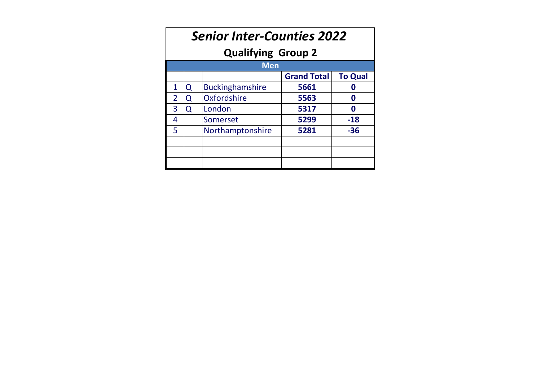| <b>Senior Inter-Counties 2022</b><br><b>Qualifying Group 2</b> |   |                        |                    |                |  |  |  |  |  |  |  |
|----------------------------------------------------------------|---|------------------------|--------------------|----------------|--|--|--|--|--|--|--|
| <b>Men</b>                                                     |   |                        |                    |                |  |  |  |  |  |  |  |
|                                                                |   |                        | <b>Grand Total</b> | <b>To Qual</b> |  |  |  |  |  |  |  |
| $\mathbf{1}$                                                   | Q | <b>Buckinghamshire</b> | 5661               | n              |  |  |  |  |  |  |  |
| $\overline{2}$                                                 | 0 | Oxfordshire            | 5563               | Ω              |  |  |  |  |  |  |  |
| 3                                                              | Q | London                 | 5317               | 0              |  |  |  |  |  |  |  |
| 4                                                              |   | Somerset               | 5299               | $-18$          |  |  |  |  |  |  |  |
| 5                                                              |   | Northamptonshire       | 5281               | $-36$          |  |  |  |  |  |  |  |
|                                                                |   |                        |                    |                |  |  |  |  |  |  |  |
|                                                                |   |                        |                    |                |  |  |  |  |  |  |  |
|                                                                |   |                        |                    |                |  |  |  |  |  |  |  |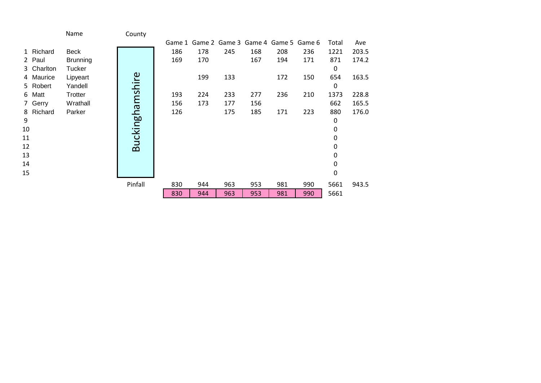|            | Name            | County          |     |     |     |     |                                           |     |       |       |
|------------|-----------------|-----------------|-----|-----|-----|-----|-------------------------------------------|-----|-------|-------|
|            |                 |                 |     |     |     |     | Game 1 Game 2 Game 3 Game 4 Game 5 Game 6 |     | Total | Ave   |
| 1 Richard  | Beck            |                 | 186 | 178 | 245 | 168 | 208                                       | 236 | 1221  | 203.5 |
| 2 Paul     | <b>Brunning</b> |                 | 169 | 170 |     | 167 | 194                                       | 171 | 871   | 174.2 |
| 3 Charlton | Tucker          |                 |     |     |     |     |                                           |     | 0     |       |
| 4 Maurice  | Lipyeart        |                 |     | 199 | 133 |     | 172                                       | 150 | 654   | 163.5 |
| 5 Robert   | Yandell         |                 |     |     |     |     |                                           |     | 0     |       |
| 6 Matt     | Trotter         |                 | 193 | 224 | 233 | 277 | 236                                       | 210 | 1373  | 228.8 |
| 7 Gerry    | Wrathall        |                 | 156 | 173 | 177 | 156 |                                           |     | 662   | 165.5 |
| 8 Richard  | Parker          |                 | 126 |     | 175 | 185 | 171                                       | 223 | 880   | 176.0 |
| 9          |                 | Buckinghamshire |     |     |     |     |                                           |     | 0     |       |
| 10         |                 |                 |     |     |     |     |                                           |     | 0     |       |
| 11         |                 |                 |     |     |     |     |                                           |     | 0     |       |
| 12         |                 |                 |     |     |     |     |                                           |     | 0     |       |
| 13         |                 |                 |     |     |     |     |                                           |     | 0     |       |
| 14         |                 |                 |     |     |     |     |                                           |     | 0     |       |
| 15         |                 |                 |     |     |     |     |                                           |     | 0     |       |
|            |                 | Pinfall         | 830 | 944 | 963 | 953 | 981                                       | 990 | 5661  | 943.5 |
|            |                 |                 | 830 | 944 | 963 | 953 | 981                                       | 990 | 5661  |       |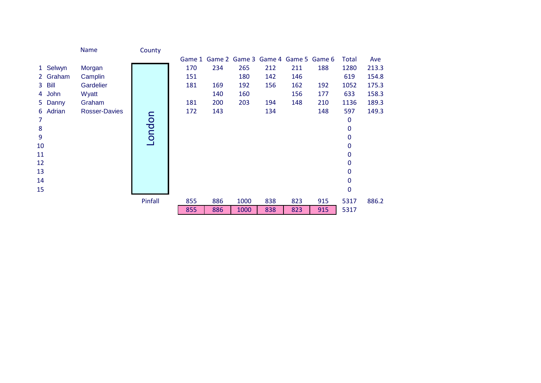|                | Name                 | County  |        |     |      |                                    |     |     |              |       |
|----------------|----------------------|---------|--------|-----|------|------------------------------------|-----|-----|--------------|-------|
|                |                      |         | Game 1 |     |      | Game 2 Game 3 Game 4 Game 5 Game 6 |     |     | <b>Total</b> | Ave   |
| 1 Selwyn       | Morgan               |         | 170    | 234 | 265  | 212                                | 211 | 188 | 1280         | 213.3 |
| 2 Graham       | Camplin              |         | 151    |     | 180  | 142                                | 146 |     | 619          | 154.8 |
| 3 Bill         | Gardelier            |         | 181    | 169 | 192  | 156                                | 162 | 192 | 1052         | 175.3 |
| 4 John         | Wyatt                |         |        | 140 | 160  |                                    | 156 | 177 | 633          | 158.3 |
| 5 Danny        | Graham               |         | 181    | 200 | 203  | 194                                | 148 | 210 | 1136         | 189.3 |
| 6 Adrian       | <b>Rosser-Davies</b> |         | 172    | 143 |      | 134                                |     | 148 | 597          | 149.3 |
| $\overline{7}$ |                      | London  |        |     |      |                                    |     |     | 0            |       |
| $\bf 8$        |                      |         |        |     |      |                                    |     |     | 0            |       |
| 9              |                      |         |        |     |      |                                    |     |     | 0            |       |
| 10             |                      |         |        |     |      |                                    |     |     | 0            |       |
| 11             |                      |         |        |     |      |                                    |     |     | 0            |       |
| 12             |                      |         |        |     |      |                                    |     |     | 0            |       |
| 13             |                      |         |        |     |      |                                    |     |     | 0            |       |
| 14             |                      |         |        |     |      |                                    |     |     | 0            |       |
| 15             |                      |         |        |     |      |                                    |     |     | $\mathbf 0$  |       |
|                |                      | Pinfall | 855    | 886 | 1000 | 838                                | 823 | 915 | 5317         | 886.2 |
|                |                      |         | 855    | 886 | 1000 | 838                                | 823 | 915 | 5317         |       |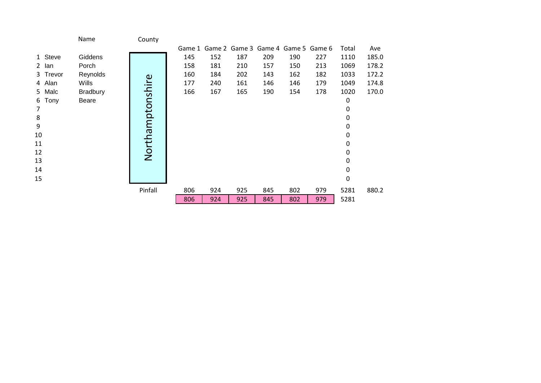|           | Name            | County           |        |     |     |                                    |     |     |       |       |
|-----------|-----------------|------------------|--------|-----|-----|------------------------------------|-----|-----|-------|-------|
|           |                 |                  | Game 1 |     |     | Game 2 Game 3 Game 4 Game 5 Game 6 |     |     | Total | Ave   |
| 1 Steve   | Giddens         |                  | 145    | 152 | 187 | 209                                | 190 | 227 | 1110  | 185.0 |
| 2 lan     | Porch           |                  | 158    | 181 | 210 | 157                                | 150 | 213 | 1069  | 178.2 |
| 3 Trevor  | Reynolds        |                  | 160    | 184 | 202 | 143                                | 162 | 182 | 1033  | 172.2 |
| 4 Alan    | Wills           |                  | 177    | 240 | 161 | 146                                | 146 | 179 | 1049  | 174.8 |
| 5 Malc    | <b>Bradbury</b> | Northamptonshire | 166    | 167 | 165 | 190                                | 154 | 178 | 1020  | 170.0 |
| 6<br>Tony | Beare           |                  |        |     |     |                                    |     |     | 0     |       |
| 7         |                 |                  |        |     |     |                                    |     |     | 0     |       |
| 8         |                 |                  |        |     |     |                                    |     |     | 0     |       |
| 9         |                 |                  |        |     |     |                                    |     |     | 0     |       |
| 10        |                 |                  |        |     |     |                                    |     |     | 0     |       |
| 11        |                 |                  |        |     |     |                                    |     |     | 0     |       |
| 12        |                 |                  |        |     |     |                                    |     |     | 0     |       |
| 13        |                 |                  |        |     |     |                                    |     |     | 0     |       |
| 14        |                 |                  |        |     |     |                                    |     |     | 0     |       |
| 15        |                 |                  |        |     |     |                                    |     |     | 0     |       |
|           |                 | Pinfall          | 806    | 924 | 925 | 845                                | 802 | 979 | 5281  | 880.2 |
|           |                 |                  | 806    | 924 | 925 | 845                                | 802 | 979 | 5281  |       |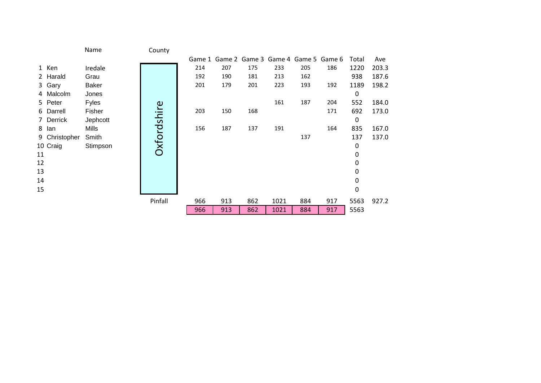|    |               | Name         | County      |     |     |     |      |     |                                           |       |       |
|----|---------------|--------------|-------------|-----|-----|-----|------|-----|-------------------------------------------|-------|-------|
|    |               |              |             |     |     |     |      |     | Game 1 Game 2 Game 3 Game 4 Game 5 Game 6 | Total | Ave   |
|    | 1 Ken         | Iredale      |             | 214 | 207 | 175 | 233  | 205 | 186                                       | 1220  | 203.3 |
|    | 2 Harald      | Grau         |             | 192 | 190 | 181 | 213  | 162 |                                           | 938   | 187.6 |
|    | 3 Gary        | <b>Baker</b> |             | 201 | 179 | 201 | 223  | 193 | 192                                       | 1189  | 198.2 |
|    | 4 Malcolm     | Jones        |             |     |     |     |      |     |                                           | 0     |       |
|    | 5 Peter       | <b>Fyles</b> |             |     |     |     | 161  | 187 | 204                                       | 552   | 184.0 |
|    | 6 Darrell     | Fisher       |             | 203 | 150 | 168 |      |     | 171                                       | 692   | 173.0 |
|    | 7 Derrick     | Jephcott     |             |     |     |     |      |     |                                           | 0     |       |
| 8  | lan           | Mills        |             | 156 | 187 | 137 | 191  |     | 164                                       | 835   | 167.0 |
|    | 9 Christopher | Smith        | Oxfordshire |     |     |     |      | 137 |                                           | 137   | 137.0 |
|    | 10 Craig      | Stimpson     |             |     |     |     |      |     |                                           | 0     |       |
| 11 |               |              |             |     |     |     |      |     |                                           | 0     |       |
| 12 |               |              |             |     |     |     |      |     |                                           | 0     |       |
| 13 |               |              |             |     |     |     |      |     |                                           | 0     |       |
| 14 |               |              |             |     |     |     |      |     |                                           | 0     |       |
| 15 |               |              |             |     |     |     |      |     |                                           | 0     |       |
|    |               |              | Pinfall     | 966 | 913 | 862 | 1021 | 884 | 917                                       | 5563  | 927.2 |
|    |               |              |             | 966 | 913 | 862 | 1021 | 884 | 917                                       | 5563  |       |